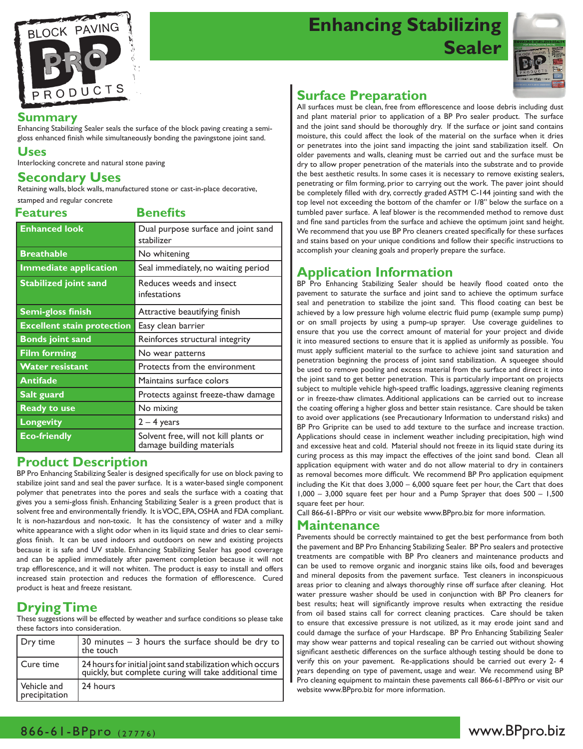

# **Enhancing Stabilizing Sealer**



#### **Summary**

Enhancing Stabilizing Sealer seals the surface of the block paving creating a semigloss enhanced finish while simultaneously bonding the pavingstone joint sand.

#### **Uses**

Interlocking concrete and natural stone paving

# **Secondary Uses**

Retaining walls, block walls, manufactured stone or cast-in-place decorative, stamped and regular concrete

**Features Benefits**

| <b>Enhanced look</b>              | Dual purpose surface and joint sand<br>stabilizer                  |  |
|-----------------------------------|--------------------------------------------------------------------|--|
| <b>Breathable</b>                 | No whitening                                                       |  |
| <b>Immediate application</b>      | Seal immediately, no waiting period                                |  |
| <b>Stabilized joint sand</b>      | Reduces weeds and insect<br>infestations                           |  |
| <b>Semi-gloss finish</b>          | Attractive beautifying finish                                      |  |
| <b>Excellent stain protection</b> | Easy clean barrier                                                 |  |
| <b>Bonds joint sand</b>           | Reinforces structural integrity                                    |  |
| <b>Film forming</b>               | No wear patterns                                                   |  |
| <b>Water resistant</b>            | Protects from the environment                                      |  |
| <b>Antifade</b>                   | Maintains surface colors                                           |  |
| Salt guard                        | Protects against freeze-thaw damage                                |  |
| <b>Ready to use</b>               | No mixing                                                          |  |
| <b>Longevity</b>                  | $2 - 4$ years                                                      |  |
| <b>Eco-friendly</b>               | Solvent free, will not kill plants or<br>damage building materials |  |

### **Product Description**

BP Pro Enhancing Stabilizing Sealer is designed specifically for use on block paving to stabilize joint sand and seal the paver surface. It is a water-based single component polymer that penetrates into the pores and seals the surface with a coating that gives you a semi-gloss finish. Enhancing Stabilizing Sealer is a green product that is solvent free and environmentally friendly. It is VOC, EPA, OSHA and FDA compliant. It is non-hazardous and non-toxic. It has the consistency of water and a milky white appearance with a slight odor when in its liquid state and dries to clear semigloss finish. It can be used indoors and outdoors on new and existing projects because it is safe and UV stable. Enhancing Stabilizing Sealer has good coverage and can be applied immediately after pavement completion because it will not trap efflorescence, and it will not whiten. The product is easy to install and offers increased stain protection and reduces the formation of efflorescence. Cured product is heat and freeze resistant.

# **Drying Time**

These suggestions will be effected by weather and surface conditions so please take these factors into consideration.

| Dry time                     | 30 minutes $-$ 3 hours the surface should be dry to $ $<br>the touch                                                 |
|------------------------------|----------------------------------------------------------------------------------------------------------------------|
| Cure time                    | 24 hours for initial joint sand stabilization which occurs<br>quickly, but complete curing will take additional time |
| Vehicle and<br>precipitation | 24 hours                                                                                                             |

# **Surface Preparation**

All surfaces must be clean, free from efflorescence and loose debris including dust and plant material prior to application of a BP Pro sealer product. The surface and the joint sand should be thoroughly dry. If the surface or joint sand contains moisture, this could affect the look of the material on the surface when it dries or penetrates into the joint sand impacting the joint sand stabilization itself. On older pavements and walls, cleaning must be carried out and the surface must be dry to allow proper penetration of the materials into the substrate and to provide the best aesthetic results. In some cases it is necessary to remove existing sealers, penetrating or film forming, prior to carrying out the work. The paver joint should be completely filled with dry, correctly graded ASTM C-144 jointing sand with the top level not exceeding the bottom of the chamfer or 1/8" below the surface on a tumbled paver surface. A leaf blower is the recommended method to remove dust and fine sand particles from the surface and achieve the optimum joint sand height. We recommend that you use BP Pro cleaners created specifically for these surfaces and stains based on your unique conditions and follow their specific instructions to accomplish your cleaning goals and properly prepare the surface.

# **Application Information**

BP Pro Enhancing Stabilizing Sealer should be heavily flood coated onto the pavement to saturate the surface and joint sand to achieve the optimum surface seal and penetration to stabilize the joint sand. This flood coating can best be achieved by a low pressure high volume electric fluid pump (example sump pump) or on small projects by using a pump-up sprayer. Use coverage guidelines to ensure that you use the correct amount of material for your project and divide it into measured sections to ensure that it is applied as uniformly as possible. You must apply sufficient material to the surface to achieve joint sand saturation and penetration beginning the process of joint sand stabilization. A squeegee should be used to remove pooling and excess material from the surface and direct it into the joint sand to get better penetration. This is particularly important on projects subject to multiple vehicle high-speed traffic loadings, aggressive cleaning regiments or in freeze-thaw climates. Additional applications can be carried out to increase the coating offering a higher gloss and better stain resistance. Care should be taken to avoid over applications (see Precautionary Information to understand risks) and BP Pro Griprite can be used to add texture to the surface and increase traction. Applications should cease in inclement weather including precipitation, high wind and excessive heat and cold. Material should not freeze in its liquid state during its curing process as this may impact the effectives of the joint sand bond. Clean all application equipment with water and do not allow material to dry in containers as removal becomes more difficult. We recommend BP Pro application equipment including the Kit that does 3,000 – 6,000 square feet per hour, the Cart that does 1,000 – 3,000 square feet per hour and a Pump Sprayer that does 500 – 1,500 square feet per hour.

Call 866-61-BPPro or visit our website www.BPpro.biz for more information.

#### **Maintenance**

Pavements should be correctly maintained to get the best performance from both the pavement and BP Pro Enhancing Stabilizing Sealer. BP Pro sealers and protective treatments are compatible with BP Pro cleaners and maintenance products and can be used to remove organic and inorganic stains like oils, food and beverages and mineral deposits from the pavement surface. Test cleaners in inconspicuous areas prior to cleaning and always thoroughly rinse off surface after cleaning. Hot water pressure washer should be used in conjunction with BP Pro cleaners for best results; heat will significantly improve results when extracting the residue from oil based stains call for correct cleaning practices. Care should be taken to ensure that excessive pressure is not utilized, as it may erode joint sand and could damage the surface of your Hardscape. BP Pro Enhancing Stabilizing Sealer may show wear patterns and topical resealing can be carried out without showing significant aesthetic differences on the surface although testing should be done to verify this on your pavement. Re-applications should be carried out every 2- 4 years depending on type of pavement, usage and wear. We recommend using BP Pro cleaning equipment to maintain these pavements call 866-61-BPPro or visit our website www.BPpro.biz for more information.